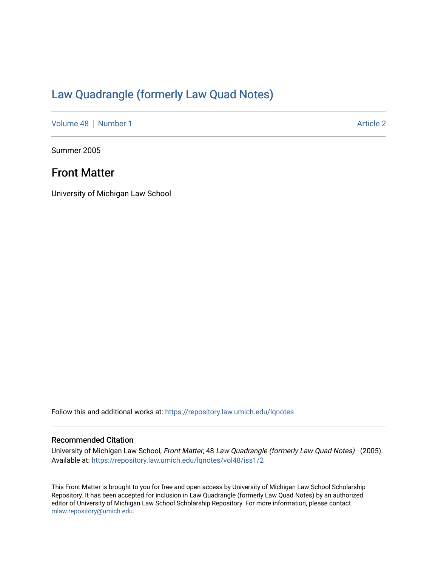# [Law Quadrangle \(formerly Law Quad Notes\)](https://repository.law.umich.edu/lqnotes)

[Volume 48](https://repository.law.umich.edu/lqnotes/vol48) [Number 1](https://repository.law.umich.edu/lqnotes/vol48/iss1) Article 2

Summer 2005

### Front Matter

University of Michigan Law School

Follow this and additional works at: [https://repository.law.umich.edu/lqnotes](https://repository.law.umich.edu/lqnotes?utm_source=repository.law.umich.edu%2Flqnotes%2Fvol48%2Fiss1%2F2&utm_medium=PDF&utm_campaign=PDFCoverPages) 

#### Recommended Citation

University of Michigan Law School, Front Matter, 48 Law Quadrangle (formerly Law Quad Notes) - (2005). Available at: [https://repository.law.umich.edu/lqnotes/vol48/iss1/2](https://repository.law.umich.edu/lqnotes/vol48/iss1/2?utm_source=repository.law.umich.edu%2Flqnotes%2Fvol48%2Fiss1%2F2&utm_medium=PDF&utm_campaign=PDFCoverPages) 

This Front Matter is brought to you for free and open access by University of Michigan Law School Scholarship Repository. It has been accepted for inclusion in Law Quadrangle (formerly Law Quad Notes) by an authorized editor of University of Michigan Law School Scholarship Repository. For more information, please contact [mlaw.repository@umich.edu.](mailto:mlaw.repository@umich.edu)